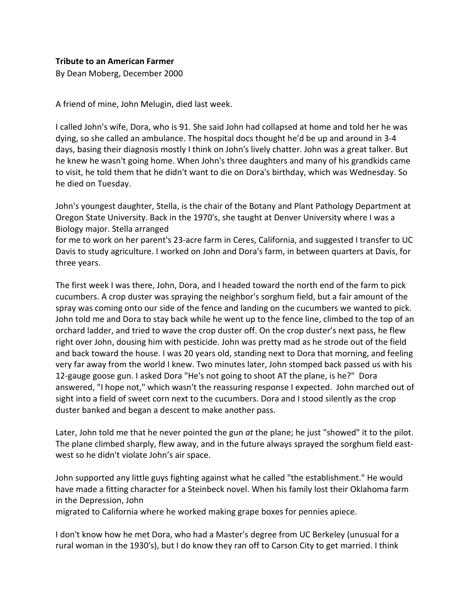By Dean Moberg, December 2000

A friend of mine, John Melugin, died last week.

I called John's wife, Dora, who is 91. She said John had collapsed at home and told her he was dying, so she called an ambulance. The hospital docs thought he'd be up and around in 3-4 days, basing their diagnosis mostly I think on John's lively chatter. John was a great talker. But he knew he wasn't going home. When John's three daughters and many of his grandkids came to visit, he told them that he didn't want to die on Dora's birthday, which was Wednesday. So he died on Tuesday.

John's youngest daughter, Stella, is the chair of the Botany and Plant Pathology Department at Oregon State University. Back in the 1970's, she taught at Denver University where I was a Biology major. Stella arranged

for me to work on her parent's 23-acre farm in Ceres, California, and suggested I transfer to UC Davis to study agriculture. I worked on John and Dora's farm, in between quarters at Davis, for three years.

The first week I was there, John, Dora, and I headed toward the north end of the farm to pick cucumbers. A crop duster was spraying the neighbor's sorghum field, but a fair amount of the spray was coming onto our side of the fence and landing on the cucumbers we wanted to pick. John told me and Dora to stay back while he went up to the fence line, climbed to the top of an orchard ladder, and tried to wave the crop duster off. On the crop duster's next pass, he flew right over John, dousing him with pesticide. John was pretty mad as he strode out of the field and back toward the house. I was 20 years old, standing next to Dora that morning, and feeling very far away from the world I knew. Two minutes later, John stomped back passed us with his 12-gauge goose gun. I asked Dora "He's not going to shoot AT the plane, is he?" Dora answered, "I hope not," which wasn't the reassuring response I expected. John marched out of sight into a field of sweet corn next to the cucumbers. Dora and I stood silently as the crop duster banked and began a descent to make another pass.

Later, John told me that he never pointed the gun *at* the plane; he just "showed" it to the pilot. The plane climbed sharply, flew away, and in the future always sprayed the sorghum field eastwest so he didn't violate John's air space.

John supported any little guys fighting against what he called "the establishment." He would have made a fitting character for a Steinbeck novel. When his family lost their Oklahoma farm in the Depression, John

migrated to California where he worked making grape boxes for pennies apiece.

I don't know how he met Dora, who had a Master's degree from UC Berkeley (unusual for a rural woman in the 1930's), but I do know they ran off to Carson City to get married. I think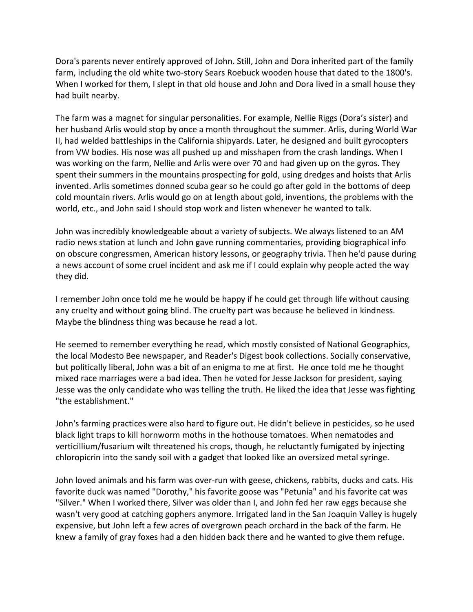Dora's parents never entirely approved of John. Still, John and Dora inherited part of the family farm, including the old white two-story Sears Roebuck wooden house that dated to the 1800's. When I worked for them, I slept in that old house and John and Dora lived in a small house they had built nearby.

The farm was a magnet for singular personalities. For example, Nellie Riggs (Dora's sister) and her husband Arlis would stop by once a month throughout the summer. Arlis, during World War II, had welded battleships in the California shipyards. Later, he designed and built gyrocopters from VW bodies. His nose was all pushed up and misshapen from the crash landings. When I was working on the farm, Nellie and Arlis were over 70 and had given up on the gyros. They spent their summers in the mountains prospecting for gold, using dredges and hoists that Arlis invented. Arlis sometimes donned scuba gear so he could go after gold in the bottoms of deep cold mountain rivers. Arlis would go on at length about gold, inventions, the problems with the world, etc., and John said I should stop work and listen whenever he wanted to talk.

John was incredibly knowledgeable about a variety of subjects. We always listened to an AM radio news station at lunch and John gave running commentaries, providing biographical info on obscure congressmen, American history lessons, or geography trivia. Then he'd pause during a news account of some cruel incident and ask me if I could explain why people acted the way they did.

I remember John once told me he would be happy if he could get through life without causing any cruelty and without going blind. The cruelty part was because he believed in kindness. Maybe the blindness thing was because he read a lot.

He seemed to remember everything he read, which mostly consisted of National Geographics, the local Modesto Bee newspaper, and Reader's Digest book collections. Socially conservative, but politically liberal, John was a bit of an enigma to me at first. He once told me he thought mixed race marriages were a bad idea. Then he voted for Jesse Jackson for president, saying Jesse was the only candidate who was telling the truth. He liked the idea that Jesse was fighting "the establishment."

John's farming practices were also hard to figure out. He didn't believe in pesticides, so he used black light traps to kill hornworm moths in the hothouse tomatoes. When nematodes and verticillium/fusarium wilt threatened his crops, though, he reluctantly fumigated by injecting chloropicrin into the sandy soil with a gadget that looked like an oversized metal syringe.

John loved animals and his farm was over-run with geese, chickens, rabbits, ducks and cats. His favorite duck was named "Dorothy," his favorite goose was "Petunia" and his favorite cat was "Silver." When I worked there, Silver was older than I, and John fed her raw eggs because she wasn't very good at catching gophers anymore. Irrigated land in the San Joaquin Valley is hugely expensive, but John left a few acres of overgrown peach orchard in the back of the farm. He knew a family of gray foxes had a den hidden back there and he wanted to give them refuge.